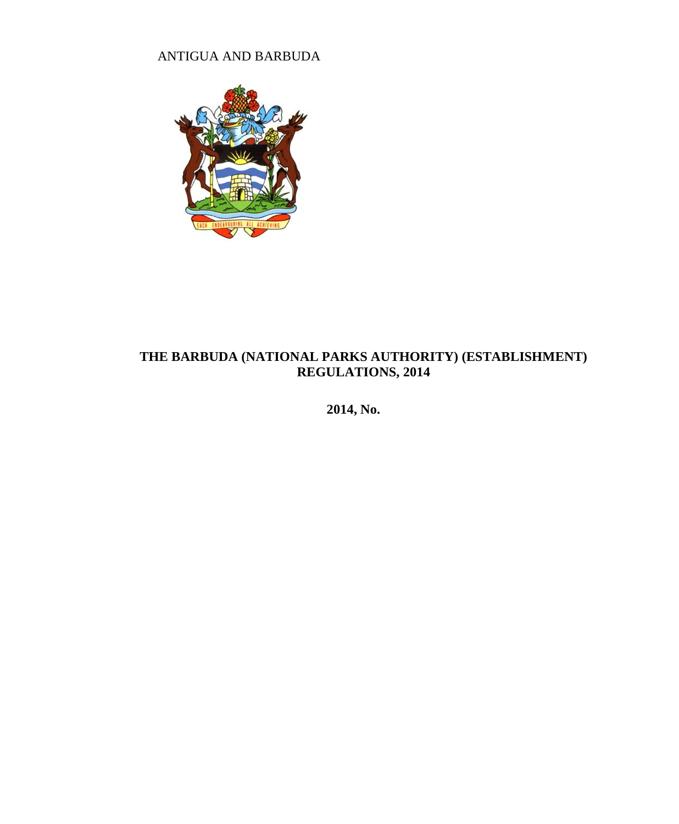# ANTIGUA AND BARBUDA



# **THE BARBUDA (NATIONAL PARKS AUTHORITY) (ESTABLISHMENT) REGULATIONS, 2014**

**2014, No.**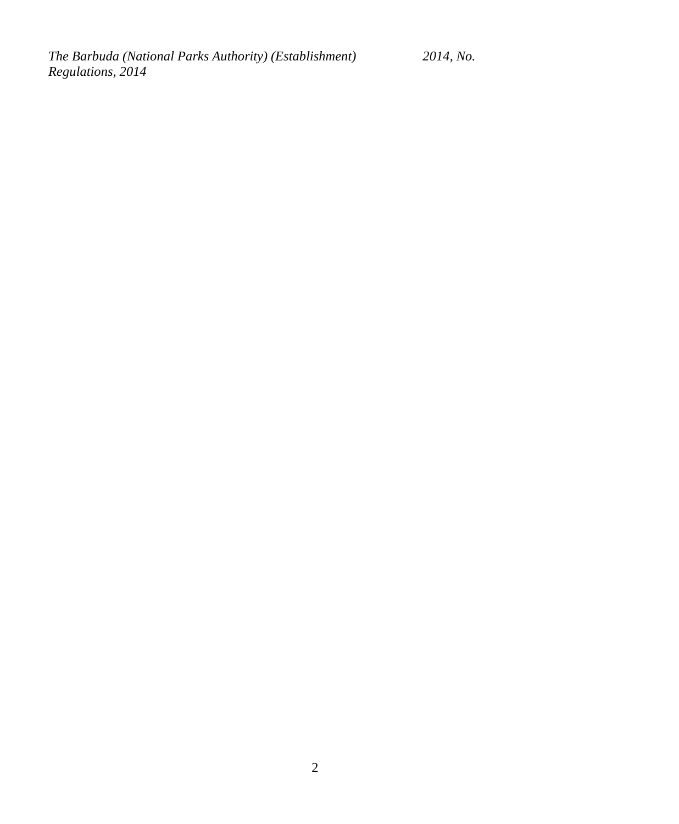*The Barbuda (National Parks Authority) (Establishment) Regulations, 2014*

*2014, No.*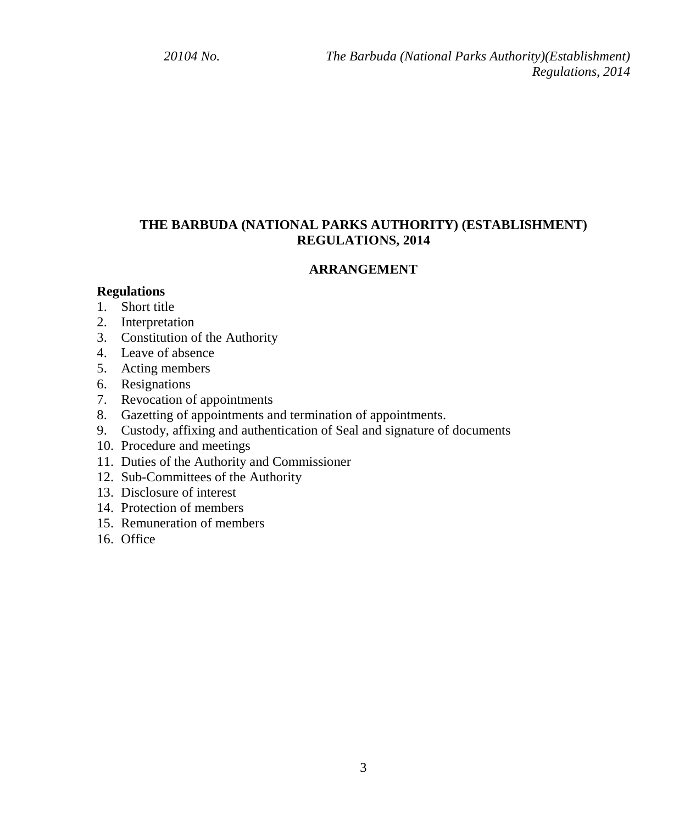# **THE BARBUDA (NATIONAL PARKS AUTHORITY) (ESTABLISHMENT) REGULATIONS, 2014**

# **ARRANGEMENT**

#### **Regulations**

- 1. Short title
- 2. Interpretation
- 3. Constitution of the Authority
- 4. Leave of absence
- 5. Acting members
- 6. Resignations
- 7. Revocation of appointments
- 8. Gazetting of appointments and termination of appointments.
- 9. Custody, affixing and authentication of Seal and signature of documents
- 10. Procedure and meetings
- 11. Duties of the Authority and Commissioner
- 12. Sub-Committees of the Authority
- 13. Disclosure of interest
- 14. Protection of members
- 15. Remuneration of members
- 16. Office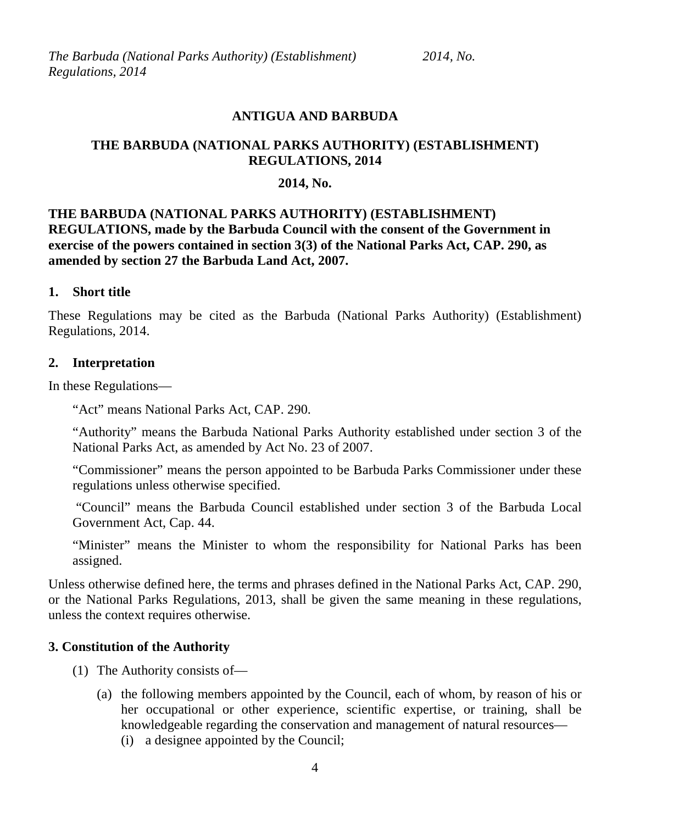*2014, No.* 

#### **ANTIGUA AND BARBUDA**

# **THE BARBUDA (NATIONAL PARKS AUTHORITY) (ESTABLISHMENT) REGULATIONS, 2014**

#### **2014, No.**

# **THE BARBUDA (NATIONAL PARKS AUTHORITY) (ESTABLISHMENT) REGULATIONS, made by the Barbuda Council with the consent of the Government in exercise of the powers contained in section 3(3) of the National Parks Act, CAP. 290, as amended by section 27 the Barbuda Land Act, 2007.**

#### **1. Short title**

These Regulations may be cited as the Barbuda (National Parks Authority) (Establishment) Regulations, 2014.

#### **2. Interpretation**

In these Regulations—

"Act" means National Parks Act, CAP. 290.

"Authority" means the Barbuda National Parks Authority established under section 3 of the National Parks Act, as amended by Act No. 23 of 2007.

"Commissioner" means the person appointed to be Barbuda Parks Commissioner under these regulations unless otherwise specified.

"Council" means the Barbuda Council established under section 3 of the Barbuda Local Government Act, Cap. 44.

"Minister" means the Minister to whom the responsibility for National Parks has been assigned.

Unless otherwise defined here, the terms and phrases defined in the National Parks Act, CAP. 290, or the National Parks Regulations, 2013, shall be given the same meaning in these regulations, unless the context requires otherwise.

#### **3. Constitution of the Authority**

- (1) The Authority consists of—
	- (a) the following members appointed by the Council, each of whom, by reason of his or her occupational or other experience, scientific expertise, or training, shall be knowledgeable regarding the conservation and management of natural resources—
		- (i) a designee appointed by the Council;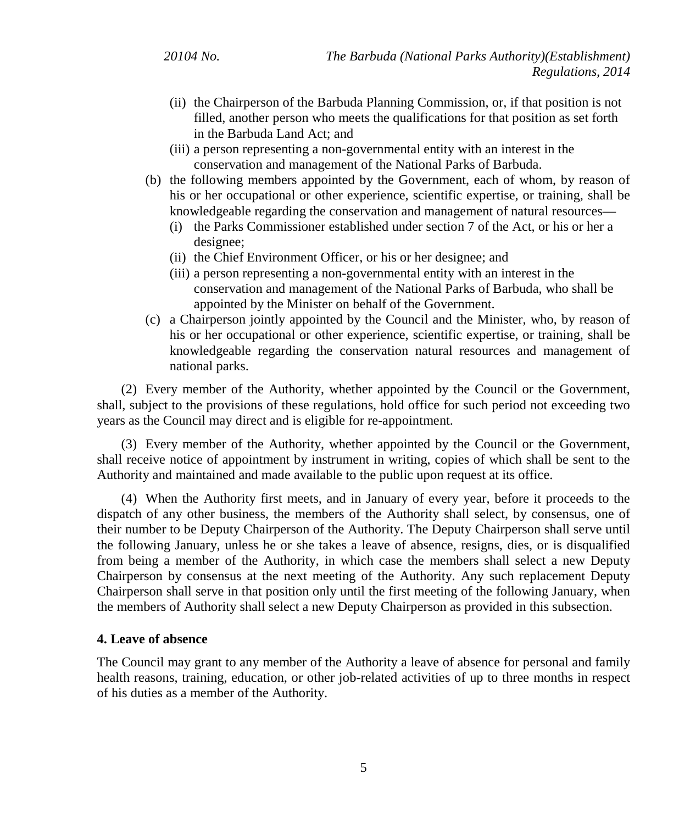- (ii) the Chairperson of the Barbuda Planning Commission, or, if that position is not filled, another person who meets the qualifications for that position as set forth in the Barbuda Land Act; and
- (iii) a person representing a non-governmental entity with an interest in the conservation and management of the National Parks of Barbuda.
- (b) the following members appointed by the Government, each of whom, by reason of his or her occupational or other experience, scientific expertise, or training, shall be knowledgeable regarding the conservation and management of natural resources—
	- (i) the Parks Commissioner established under section 7 of the Act, or his or her a designee;
	- (ii) the Chief Environment Officer, or his or her designee; and
	- (iii) a person representing a non-governmental entity with an interest in the conservation and management of the National Parks of Barbuda, who shall be appointed by the Minister on behalf of the Government.
- (c) a Chairperson jointly appointed by the Council and the Minister, who, by reason of his or her occupational or other experience, scientific expertise, or training, shall be knowledgeable regarding the conservation natural resources and management of national parks.

(2) Every member of the Authority, whether appointed by the Council or the Government, shall, subject to the provisions of these regulations, hold office for such period not exceeding two years as the Council may direct and is eligible for re-appointment.

(3) Every member of the Authority, whether appointed by the Council or the Government, shall receive notice of appointment by instrument in writing, copies of which shall be sent to the Authority and maintained and made available to the public upon request at its office.

(4) When the Authority first meets, and in January of every year, before it proceeds to the dispatch of any other business, the members of the Authority shall select, by consensus, one of their number to be Deputy Chairperson of the Authority. The Deputy Chairperson shall serve until the following January, unless he or she takes a leave of absence, resigns, dies, or is disqualified from being a member of the Authority, in which case the members shall select a new Deputy Chairperson by consensus at the next meeting of the Authority. Any such replacement Deputy Chairperson shall serve in that position only until the first meeting of the following January, when the members of Authority shall select a new Deputy Chairperson as provided in this subsection.

#### **4. Leave of absence**

The Council may grant to any member of the Authority a leave of absence for personal and family health reasons, training, education, or other job-related activities of up to three months in respect of his duties as a member of the Authority.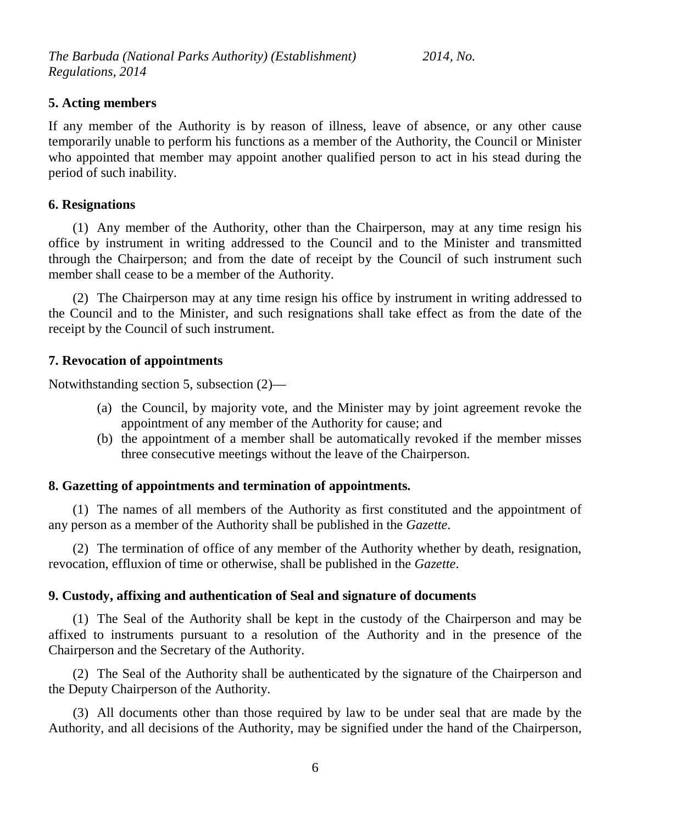*The Barbuda (National Parks Authority) (Establishment) Regulations, 2014*

*2014, No.* 

### **5. Acting members**

If any member of the Authority is by reason of illness, leave of absence, or any other cause temporarily unable to perform his functions as a member of the Authority, the Council or Minister who appointed that member may appoint another qualified person to act in his stead during the period of such inability.

#### **6. Resignations**

(1) Any member of the Authority, other than the Chairperson, may at any time resign his office by instrument in writing addressed to the Council and to the Minister and transmitted through the Chairperson; and from the date of receipt by the Council of such instrument such member shall cease to be a member of the Authority.

(2) The Chairperson may at any time resign his office by instrument in writing addressed to the Council and to the Minister, and such resignations shall take effect as from the date of the receipt by the Council of such instrument.

### **7. Revocation of appointments**

Notwithstanding section 5, subsection (2)—

- (a) the Council, by majority vote, and the Minister may by joint agreement revoke the appointment of any member of the Authority for cause; and
- (b) the appointment of a member shall be automatically revoked if the member misses three consecutive meetings without the leave of the Chairperson.

# **8. Gazetting of appointments and termination of appointments.**

(1) The names of all members of the Authority as first constituted and the appointment of any person as a member of the Authority shall be published in the *Gazette*.

(2) The termination of office of any member of the Authority whether by death, resignation, revocation, effluxion of time or otherwise, shall be published in the *Gazette*.

# **9. Custody, affixing and authentication of Seal and signature of documents**

(1) The Seal of the Authority shall be kept in the custody of the Chairperson and may be affixed to instruments pursuant to a resolution of the Authority and in the presence of the Chairperson and the Secretary of the Authority.

(2) The Seal of the Authority shall be authenticated by the signature of the Chairperson and the Deputy Chairperson of the Authority.

(3) All documents other than those required by law to be under seal that are made by the Authority, and all decisions of the Authority, may be signified under the hand of the Chairperson,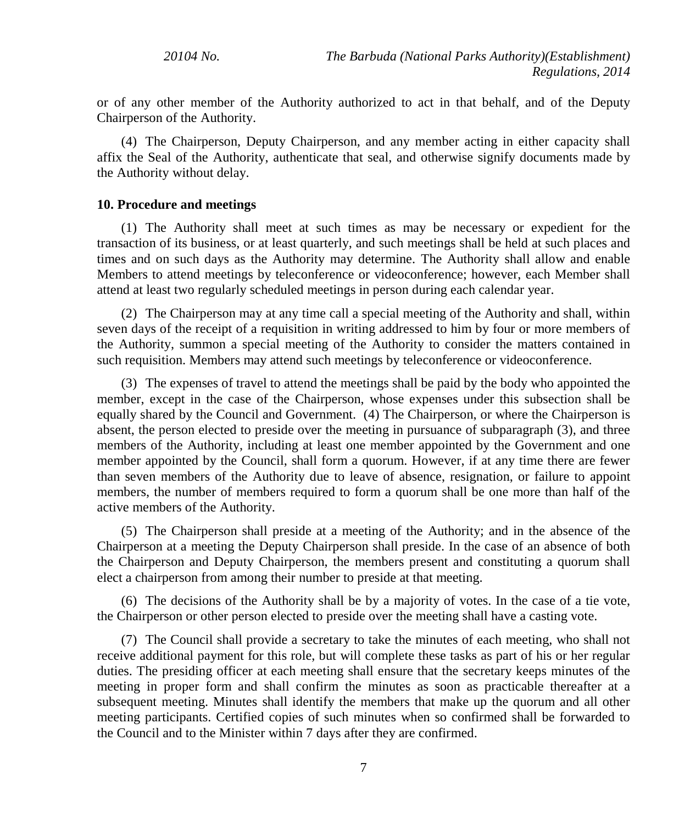or of any other member of the Authority authorized to act in that behalf, and of the Deputy Chairperson of the Authority.

(4) The Chairperson, Deputy Chairperson, and any member acting in either capacity shall affix the Seal of the Authority, authenticate that seal, and otherwise signify documents made by the Authority without delay.

#### **10. Procedure and meetings**

(1) The Authority shall meet at such times as may be necessary or expedient for the transaction of its business, or at least quarterly, and such meetings shall be held at such places and times and on such days as the Authority may determine. The Authority shall allow and enable Members to attend meetings by teleconference or videoconference; however, each Member shall attend at least two regularly scheduled meetings in person during each calendar year.

(2) The Chairperson may at any time call a special meeting of the Authority and shall, within seven days of the receipt of a requisition in writing addressed to him by four or more members of the Authority, summon a special meeting of the Authority to consider the matters contained in such requisition. Members may attend such meetings by teleconference or videoconference.

(3) The expenses of travel to attend the meetings shall be paid by the body who appointed the member, except in the case of the Chairperson, whose expenses under this subsection shall be equally shared by the Council and Government. (4) The Chairperson, or where the Chairperson is absent, the person elected to preside over the meeting in pursuance of subparagraph (3), and three members of the Authority, including at least one member appointed by the Government and one member appointed by the Council, shall form a quorum. However, if at any time there are fewer than seven members of the Authority due to leave of absence, resignation, or failure to appoint members, the number of members required to form a quorum shall be one more than half of the active members of the Authority.

(5) The Chairperson shall preside at a meeting of the Authority; and in the absence of the Chairperson at a meeting the Deputy Chairperson shall preside. In the case of an absence of both the Chairperson and Deputy Chairperson, the members present and constituting a quorum shall elect a chairperson from among their number to preside at that meeting.

(6) The decisions of the Authority shall be by a majority of votes. In the case of a tie vote, the Chairperson or other person elected to preside over the meeting shall have a casting vote.

(7) The Council shall provide a secretary to take the minutes of each meeting, who shall not receive additional payment for this role, but will complete these tasks as part of his or her regular duties. The presiding officer at each meeting shall ensure that the secretary keeps minutes of the meeting in proper form and shall confirm the minutes as soon as practicable thereafter at a subsequent meeting. Minutes shall identify the members that make up the quorum and all other meeting participants. Certified copies of such minutes when so confirmed shall be forwarded to the Council and to the Minister within 7 days after they are confirmed.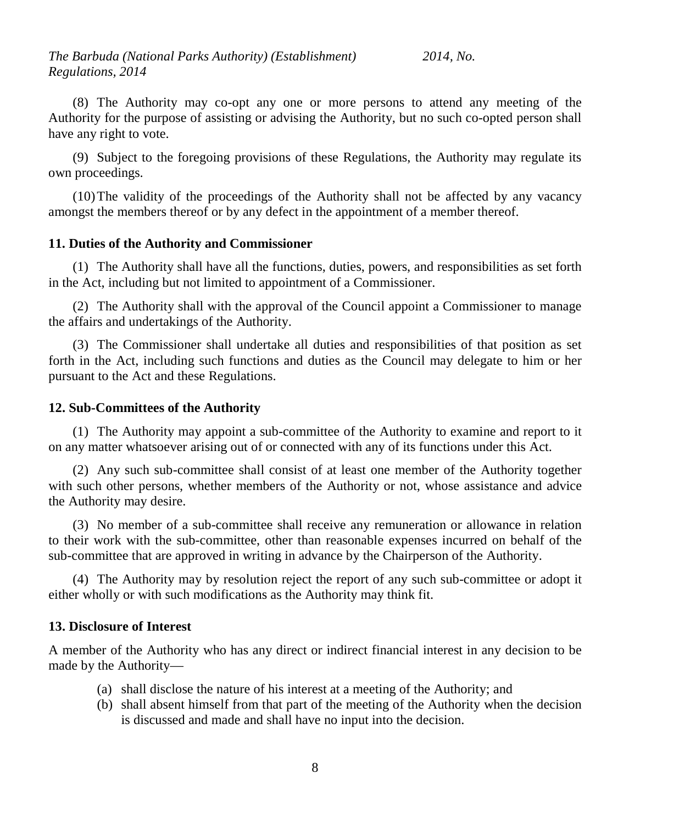*2014, No.* 

(8) The Authority may co-opt any one or more persons to attend any meeting of the Authority for the purpose of assisting or advising the Authority, but no such co-opted person shall have any right to vote.

(9) Subject to the foregoing provisions of these Regulations, the Authority may regulate its own proceedings.

(10)The validity of the proceedings of the Authority shall not be affected by any vacancy amongst the members thereof or by any defect in the appointment of a member thereof.

# **11. Duties of the Authority and Commissioner**

(1) The Authority shall have all the functions, duties, powers, and responsibilities as set forth in the Act, including but not limited to appointment of a Commissioner.

(2) The Authority shall with the approval of the Council appoint a Commissioner to manage the affairs and undertakings of the Authority.

(3) The Commissioner shall undertake all duties and responsibilities of that position as set forth in the Act, including such functions and duties as the Council may delegate to him or her pursuant to the Act and these Regulations.

### **12. Sub-Committees of the Authority**

(1) The Authority may appoint a sub-committee of the Authority to examine and report to it on any matter whatsoever arising out of or connected with any of its functions under this Act.

(2) Any such sub-committee shall consist of at least one member of the Authority together with such other persons, whether members of the Authority or not, whose assistance and advice the Authority may desire.

(3) No member of a sub-committee shall receive any remuneration or allowance in relation to their work with the sub-committee, other than reasonable expenses incurred on behalf of the sub-committee that are approved in writing in advance by the Chairperson of the Authority.

(4) The Authority may by resolution reject the report of any such sub-committee or adopt it either wholly or with such modifications as the Authority may think fit.

# **13. Disclosure of Interest**

A member of the Authority who has any direct or indirect financial interest in any decision to be made by the Authority—

- (a) shall disclose the nature of his interest at a meeting of the Authority; and
- (b) shall absent himself from that part of the meeting of the Authority when the decision is discussed and made and shall have no input into the decision.